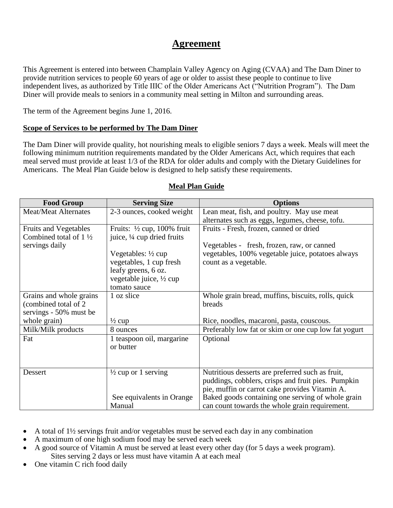# **Agreement**

This Agreement is entered into between Champlain Valley Agency on Aging (CVAA) and The Dam Diner to provide nutrition services to people 60 years of age or older to assist these people to continue to live independent lives, as authorized by Title IIIC of the Older Americans Act ("Nutrition Program"). The Dam Diner will provide meals to seniors in a community meal setting in Milton and surrounding areas.

The term of the Agreement begins June 1, 2016.

#### **Scope of Services to be performed by The Dam Diner**

The Dam Diner will provide quality, hot nourishing meals to eligible seniors 7 days a week. Meals will meet the following minimum nutrition requirements mandated by the Older Americans Act, which requires that each meal served must provide at least 1/3 of the RDA for older adults and comply with the Dietary Guidelines for Americans. The Meal Plan Guide below is designed to help satisfy these requirements.

| <b>Food Group</b>                | <b>Serving Size</b>                   | <b>Options</b>                                       |
|----------------------------------|---------------------------------------|------------------------------------------------------|
| <b>Meat/Meat Alternates</b>      | 2-3 ounces, cooked weight             | Lean meat, fish, and poultry. May use meat           |
|                                  |                                       | alternates such as eggs, legumes, cheese, tofu.      |
| <b>Fruits and Vegetables</b>     | Fruits: $\frac{1}{2}$ cup, 100% fruit | Fruits - Fresh, frozen, canned or dried              |
| Combined total of $1\frac{1}{2}$ | juice, 1/4 cup dried fruits           |                                                      |
| servings daily                   |                                       | Vegetables - fresh, frozen, raw, or canned           |
|                                  | Vegetables: $\frac{1}{2}$ cup         | vegetables, 100% vegetable juice, potatoes always    |
|                                  | vegetables, 1 cup fresh               | count as a vegetable.                                |
|                                  | leafy greens, 6 oz.                   |                                                      |
|                                  | vegetable juice, 1/2 cup              |                                                      |
|                                  | tomato sauce                          |                                                      |
| Grains and whole grains          | 1 oz slice                            | Whole grain bread, muffins, biscuits, rolls, quick   |
| (combined total of 2             |                                       | breads                                               |
| servings - 50% must be           |                                       |                                                      |
| whole grain)                     | $\frac{1}{2}$ cup                     | Rice, noodles, macaroni, pasta, couscous.            |
| Milk/Milk products               | 8 ounces                              | Preferably low fat or skim or one cup low fat yogurt |
| Fat                              | 1 teaspoon oil, margarine             | Optional                                             |
|                                  | or butter                             |                                                      |
|                                  |                                       |                                                      |
|                                  |                                       |                                                      |
| Dessert                          | $\frac{1}{2}$ cup or 1 serving        | Nutritious desserts are preferred such as fruit,     |
|                                  |                                       | puddings, cobblers, crisps and fruit pies. Pumpkin   |
|                                  |                                       | pie, muffin or carrot cake provides Vitamin A.       |
|                                  | See equivalents in Orange             | Baked goods containing one serving of whole grain    |
|                                  | Manual                                | can count towards the whole grain requirement.       |

# **Meal Plan Guide**

- A total of  $1\frac{1}{2}$  servings fruit and/or vegetables must be served each day in any combination
- A maximum of one high sodium food may be served each week
- A good source of Vitamin A must be served at least every other day (for 5 days a week program). Sites serving 2 days or less must have vitamin A at each meal
- One vitamin C rich food daily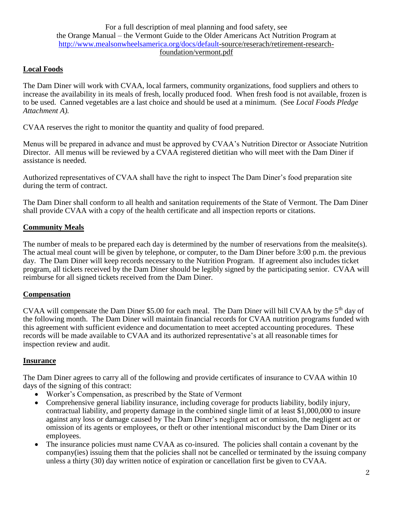For a full description of meal planning and food safety, see the Orange Manual – the Vermont Guide to the Older Americans Act Nutrition Program at [http://www.mealsonwheelsamerica.org/docs/default-](http://www.mealsonwheelsamerica.org/docs/default)source/reserach/retirement-researchfoundation/vermont.pdf

# **Local Foods**

The Dam Diner will work with CVAA, local farmers, community organizations, food suppliers and others to increase the availability in its meals of fresh, locally produced food. When fresh food is not available, frozen is to be used. Canned vegetables are a last choice and should be used at a minimum. (See *Local Foods Pledge Attachment A).*

CVAA reserves the right to monitor the quantity and quality of food prepared.

Menus will be prepared in advance and must be approved by CVAA's Nutrition Director or Associate Nutrition Director. All menus will be reviewed by a CVAA registered dietitian who will meet with the Dam Diner if assistance is needed.

Authorized representatives of CVAA shall have the right to inspect The Dam Diner's food preparation site during the term of contract.

The Dam Diner shall conform to all health and sanitation requirements of the State of Vermont. The Dam Diner shall provide CVAA with a copy of the health certificate and all inspection reports or citations.

# **Community Meals**

The number of meals to be prepared each day is determined by the number of reservations from the mealsite(s). The actual meal count will be given by telephone, or computer, to the Dam Diner before 3:00 p.m. the previous day. The Dam Diner will keep records necessary to the Nutrition Program. If agreement also includes ticket program, all tickets received by the Dam Diner should be legibly signed by the participating senior. CVAA will reimburse for all signed tickets received from the Dam Diner.

# **Compensation**

CVAA will compensate the Dam Diner \$5.00 for each meal. The Dam Diner will bill CVAA by the 5<sup>th</sup> day of the following month. The Dam Diner will maintain financial records for CVAA nutrition programs funded with this agreement with sufficient evidence and documentation to meet accepted accounting procedures. These records will be made available to CVAA and its authorized representative's at all reasonable times for inspection review and audit.

# **Insurance**

The Dam Diner agrees to carry all of the following and provide certificates of insurance to CVAA within 10 days of the signing of this contract:

- Worker's Compensation, as prescribed by the State of Vermont
- Comprehensive general liability insurance, including coverage for products liability, bodily injury, contractual liability, and property damage in the combined single limit of at least \$1,000,000 to insure against any loss or damage caused by The Dam Diner's negligent act or omission, the negligent act or omission of its agents or employees, or theft or other intentional misconduct by the Dam Diner or its employees.
- The insurance policies must name CVAA as co-insured. The policies shall contain a covenant by the company(ies) issuing them that the policies shall not be cancelled or terminated by the issuing company unless a thirty (30) day written notice of expiration or cancellation first be given to CVAA.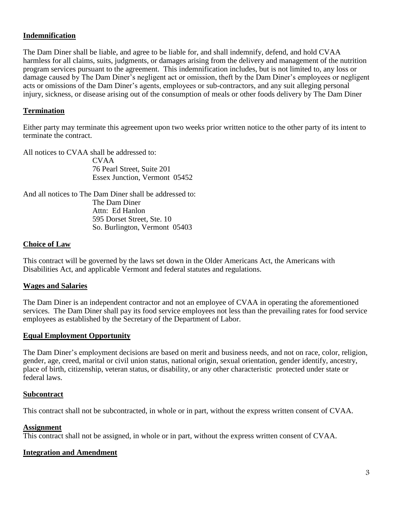# **Indemnification**

The Dam Diner shall be liable, and agree to be liable for, and shall indemnify, defend, and hold CVAA harmless for all claims, suits, judgments, or damages arising from the delivery and management of the nutrition program services pursuant to the agreement. This indemnification includes, but is not limited to, any loss or damage caused by The Dam Diner's negligent act or omission, theft by the Dam Diner's employees or negligent acts or omissions of the Dam Diner's agents, employees or sub-contractors, and any suit alleging personal injury, sickness, or disease arising out of the consumption of meals or other foods delivery by The Dam Diner

#### **Termination**

Either party may terminate this agreement upon two weeks prior written notice to the other party of its intent to terminate the contract.

All notices to CVAA shall be addressed to: CVAA 76 Pearl Street, Suite 201 Essex Junction, Vermont 05452

And all notices to The Dam Diner shall be addressed to: The Dam Diner Attn: Ed Hanlon 595 Dorset Street, Ste. 10 So. Burlington, Vermont 05403

#### **Choice of Law**

This contract will be governed by the laws set down in the Older Americans Act, the Americans with Disabilities Act, and applicable Vermont and federal statutes and regulations.

#### **Wages and Salaries**

The Dam Diner is an independent contractor and not an employee of CVAA in operating the aforementioned services. The Dam Diner shall pay its food service employees not less than the prevailing rates for food service employees as established by the Secretary of the Department of Labor.

#### **Equal Employment Opportunity**

The Dam Diner's employment decisions are based on merit and business needs, and not on race, color, religion, gender, age, creed, marital or civil union status, national origin, sexual orientation, gender identify, ancestry, place of birth, citizenship, veteran status, or disability, or any other characteristic protected under state or federal laws.

#### **Subcontract**

This contract shall not be subcontracted, in whole or in part, without the express written consent of CVAA.

#### **Assignment**

This contract shall not be assigned, in whole or in part, without the express written consent of CVAA.

#### **Integration and Amendment**